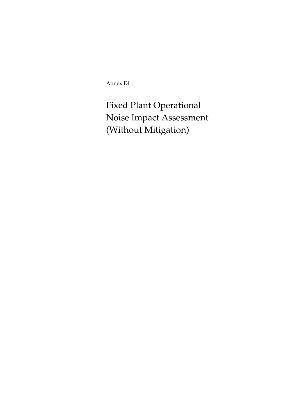Annex E4

Fixed Plant Operational Noise Impact Assessment (Without Mitigation)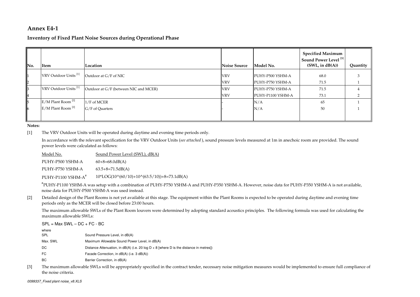## **Annex E4-1**

# **Inventory of Fixed Plant Noise Sources during Operational Phase**

| No. | Item                             | Location                              | <b>Noise Source</b> | Model No.         | <b>Specified Maximum</b><br>Sound Power Level <sup>[3]</sup><br>(SWL, in dB(A)) | Quantity |
|-----|----------------------------------|---------------------------------------|---------------------|-------------------|---------------------------------------------------------------------------------|----------|
|     | VRV Outdoor Units <sup>[1]</sup> | Outdoor at G/F of NIC                 | <b>VRV</b>          | PUHY-P500 YSHM-A  | 68.0                                                                            |          |
| I2  |                                  |                                       | <b>VRV</b>          | PUHY-P750 YSHM-A  | 71.5                                                                            |          |
| IВ  | VRV Outdoor Units <sup>[1]</sup> | Outdoor at G/F (between NIC and MCER) | <b>VRV</b>          | PUHY-P750 YSHM-A  | 71.5                                                                            |          |
| I4  |                                  |                                       | <b>VRV</b>          | PUHY-P1100 YSHM-A | 73.1                                                                            |          |
| 15  | E/M Plant Room <sup>[2]</sup>    | 1/F of MCER                           |                     | N/A               | 65                                                                              |          |
| 116 | E/M Plant Room <sup>[2]</sup>    | G/F of Quarters                       |                     | N/A               | 50                                                                              |          |
|     |                                  |                                       |                     |                   |                                                                                 |          |

**Notes:**

[1]The VRV Outdoor Units will be operated during daytime and evening time periods only.

In accordance with the relevant specification for the VRV Outdoor Units (*see attached* ), sound pressure levels measured at 1m in anechoic room are provided. The sound power levels were calculated as follows:

Sound Power Level (SWL), dB(A)60+8=68.0dB(A)63.5+8=71.5dB(A) $10*LOG(10^(60/10)+10^(63.5/10))+8=73.1dB(A)$ Model No.PUHY-P500 YSHM-A PUHY-P750 YSHM-APUHY-P1100 YSHM-A<sup>#</sup>

#PUHY-P1100 YSHM-A was setup with a combination of PUHY-P750 YSHM-A and PUHY-P350 YSHM-A. However, noise data for PUHY-P350 YSHM-A is not available, noise data for PUHY-P500 YSHM-A was used instead.

[2]Detailed design of the Plant Rooms is not yet available at this stage. The equipment within the Plant Rooms is expected to be operated during daytime and evening time periods only as the MCER will be closed before 23:00 hours.

The maximum allowable SWLs of the Plant Room louvers were determined by adopting standard acoustics principles. The following formula was used for calculating the maximum allowable SWLs:

 $SPL = Max SWL - DC + FC - BC$ whereSPLMax. SWLDC FCSound Pressure Level, in dB(A)Maximum Allowable Sound Power Level, in dB(A)Distance Attenuation, in  $dB(A)$  (i.e. 20 log  $D + 8$  [where D is the distance in metres])

- Facade Correction, in dB(A) (i.e. 3 dB(A))
- BCBarrier Correction, in dB(A)
- [3] The maximum allowable SWLs will be appropriately specified in the contract tender, necessary noise mitigation measures would be implemented to ensure full compliance of the noise criteria.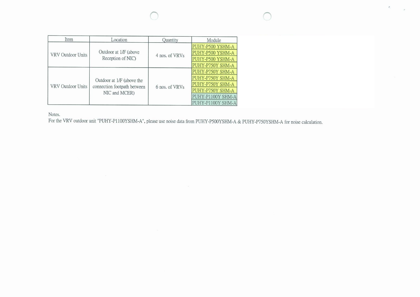$\mathcal{E}$ 

| Item              | Location                    | Quantity       | Module            |                  |
|-------------------|-----------------------------|----------------|-------------------|------------------|
|                   |                             |                | PUHY-P500 YSHM-A  |                  |
| VRV Outdoor Units | Outdoor at 1/F (above       | 4 nos. of VRVs | PUHY-P500 YSHM-A  |                  |
|                   | Reception of NIC)           |                | PUHY-P500 YSHM-A  |                  |
|                   |                             |                | PUHY-P750Y SHM-A  |                  |
|                   |                             |                | PUHY-P750Y SHM-A  |                  |
|                   | Outdoor at 1/F (above the   |                | PUHY-P750Y SHM-A  |                  |
| VRV Outdoor Units | connection footpath between | 6 nos. of VRVs | PUHY-P750Y SHM-A  |                  |
|                   |                             | NIC and MCER)  |                   | PUHY-P750Y SHM-A |
|                   |                             |                | PUHY-P1100Y SHM-A |                  |
|                   |                             |                | PUHY-P1100Y SHM-A |                  |

Notes.

For the VRV outdoor unit "PUHY-P1100YSHM-A", please use noise data from PUHY-P500YSHM-A & PUHY-P750YSHM-A for noise calculation.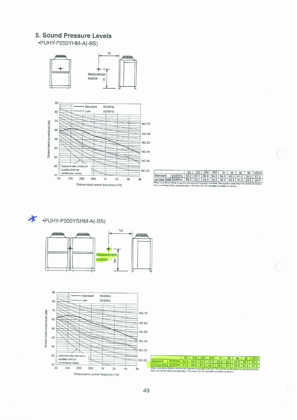# 5. Sound Pressure Levels

·PUHY-P250YHM-A(-BS)



|                                                                                       |                                                      | 63 |  | $125$   250   500 | 1k | 2k | 4k | 8k  dB(A) |
|---------------------------------------------------------------------------------------|------------------------------------------------------|----|--|-------------------|----|----|----|-----------|
| Standard                                                                              | 50/60Hz 59.0 62.0 60.0 54.0 50.5 46.0 41.0 35.0 57.0 |    |  |                   |    |    |    |           |
| Low Noise Mode 50/60Hz   58.0   53.5   44.0   39.0   36.5   32.5   31.0   24.5   44.0 |                                                      |    |  |                   |    |    |    |           |



\* PUHY-P500YSHM-A(-BS)





49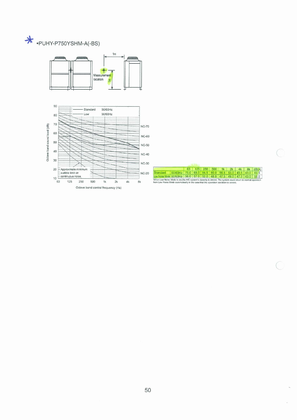



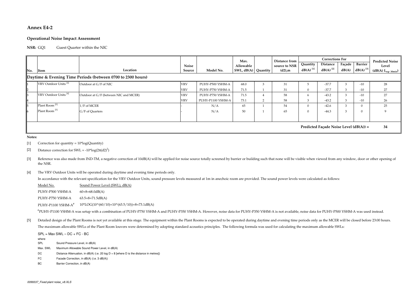## **Annex E4-2**

#### **Operational Noise Impact Assessment**

#### **NSR:**Guest Quarter within the NIC

|                                          |                                                             |                                       |            |                   | Max.                |  | Distance from | <b>Corrections For</b> |                        |        |                        | <b>Predicted Noise</b>  |
|------------------------------------------|-------------------------------------------------------------|---------------------------------------|------------|-------------------|---------------------|--|---------------|------------------------|------------------------|--------|------------------------|-------------------------|
|                                          |                                                             |                                       | Noise      |                   | Allowable           |  | source to NSR | Quantity               | Distance               | Façade | Barrier                | Level                   |
| No.                                      | Item                                                        | Location                              | Source     | Model No.         | SWL, dB(A) Quantity |  | $(d2)$ , m    | $dB(A)$ <sup>[1]</sup> | $dB(A)$ <sup>[2]</sup> | dB(A)  | $dB(A)$ <sup>[3]</sup> | $(dB(A) L_{eq' 30min})$ |
|                                          | Daytime & Evening Time Periods (between 0700 to 2300 hours) |                                       |            |                   |                     |  |               |                        |                        |        |                        |                         |
|                                          | VRV Outdoor Units <sup>[4]</sup>                            | Outdoor at G/F of NIC                 | <b>VRV</b> | PUHY-P500 YSHM-A  | 68.0                |  | 31            |                        | $-37.7$                |        | $-10$                  | 28                      |
| $\overline{2}$                           |                                                             |                                       | <b>VRV</b> | PUHY-P750 YSHM-A  | 71.5                |  | 31            | $\mathbf{0}$           | $-37.7$                |        | $-10$                  | 27                      |
|                                          | VRV Outdoor Units <sup>[4]</sup>                            | Outdoor at G/F (between NIC and MCER) | <b>VRV</b> | PUHY-P750 YSHM-A  | 71.5                |  | 58            | 6                      | $-43.2$                |        | $-10$                  | 27                      |
| 14                                       |                                                             |                                       | <b>VRV</b> | PUHY-P1100 YSHM-A | 73.1                |  | 58            | 3                      | $-43.2$                |        | $-10$                  | 26                      |
|                                          | Plant Room <sup>[5]</sup>                                   | 1/F of MCER                           |            | N/A               | 65                  |  | 54            | $\mathbf{0}$           | $-42.6$                |        |                        | 25                      |
|                                          | Plant Room <sup>[5]</sup>                                   | G/F of Quarters                       |            | N/A               | 50                  |  | 65            | $\mathbf{0}$           | $-44.3$                |        |                        |                         |
|                                          |                                                             |                                       |            |                   |                     |  |               |                        |                        |        |                        |                         |
| Predicted Facade Noise Level $(dB(A)) =$ |                                                             |                                       |            |                   |                     |  |               |                        |                        |        | 34                     |                         |

**Notes:**

[1] Correction for quantity = 10\*log(Quantity)

- [2]Distance correction for SWL =  $-10*log(2\pi(d2)^2)$
- [3]Reference was also made from IND-TM, a negative correction of 10dB(A) will be applied for noise source totally screened by barrier or building such that none will be visible when viewed from any window, door or other openi the NSR.
- [4]The VRV Outdoor Units will be operated during daytime and evening time periods only.

In accordance with the relevant specification for the VRV Outdoor Units, sound pressure levels measured at 1m in anechoic room are provided. The sound power levels were calculated as follows:

Sound Power Level (SWL), dB(A)60+8=68.0dB(A)63.5+8=71.5dB(A) $10*LOG(10^(60/10)+10^(63.5/10))+8=73.1dB(A)$ PUHY-P500 YSHM-A PUHY-P750 YSHM-AModel No.PUHY-P1100 YSHM-A<sup>#</sup>

#PUHY-P1100 YSHM-A was setup with a combination of PUHY-P750 YSHM-A and PUHY-P350 YSHM-A. However, noise data for PUHY-P350 YSHM-A is not available, noise data for PUHY-P500 YSHM-A was used instead.

[5]Detailed design of the Plant Rooms is not yet available at this stage. The equipment within the Plant Rooms is expected to be operated during daytime and evening time periods only as the MCER will be closed before 23:00 ho The maximum allowable SWLs of the Plant Room louvers were determined by adopting standard acoustics principles. The following formula was used for calculating the maximum allowable SWLs:

 $SPL = Max SWL - DC + FC - BC$ 

- where
- SPLSound Pressure Level, in dB(A)
- Max. SWLMaximum Allowable Sound Power Level, in dB(A)
- DCDistance Attenuation, in  $dB(A)$  (i.e. 20 log  $D + 8$  [where D is the distance in metres])
- FCFacade Correction, in dB(A) (i.e. 3 dB(A))
- BCBarrier Correction, in dB(A)